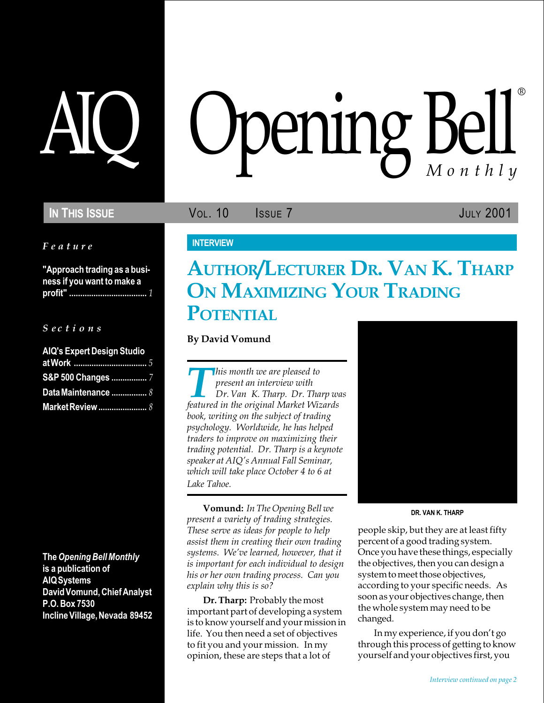### IN THIS ISSUE **VOL. 10** ISSUE 7 JULY 2001

#### Feature

"Approach trading as a business if you want to make a profit" ................................... 1

#### $S$  ec t i o n s

| <b>AIQ's Expert Design Studio</b> |
|-----------------------------------|
|                                   |
| S&P 500 Changes  7                |
| Data Maintenance  8               |
| <b>Market Review </b> 8           |

The Opening Bell Monthly is a publication of AIQ Systems David Vomund, Chief Analyst P.O. Box 7530 Incline Village, Nevada 89452

# AIQ Opening Bell ®

#### **INTERVIEW**

## AUTHOR/LECTURER DR. VAN K. THARP ON MAXIMIZING YOUR TRADING **POTENTIAL**

By David Vomund

**This month we are pleased to**<br>present an interview with<br>featured in the original Market Wizards present an interview with Dr. Van K. Tharp. Dr. Tharp was book, writing on the subject of trading psychology. Worldwide, he has helped traders to improve on maximizing their trading potential. Dr. Tharp is a keynote speaker at AIQ's Annual Fall Seminar, which will take place October 4 to 6 at Lake Tahoe.

Vomund: In The Opening Bell we present a variety of trading strategies. These serve as ideas for people to help assist them in creating their own trading systems. We've learned, however, that it is important for each individual to design his or her own trading process. Can you explain why this is so?

Dr. Tharp: Probably the most important part of developing a system is to know yourself and your mission in life. You then need a set of objectives to fit you and your mission. In my opinion, these are steps that a lot of



DR. VAN K. THARP

people skip, but they are at least fifty percent of a good trading system. Once you have these things, especially the objectives, then you can design a system to meet those objectives, according to your specific needs. As soon as your objectives change, then the whole system may need to be changed.

In my experience, if you don't go through this process of getting to know yourself and your objectives first, you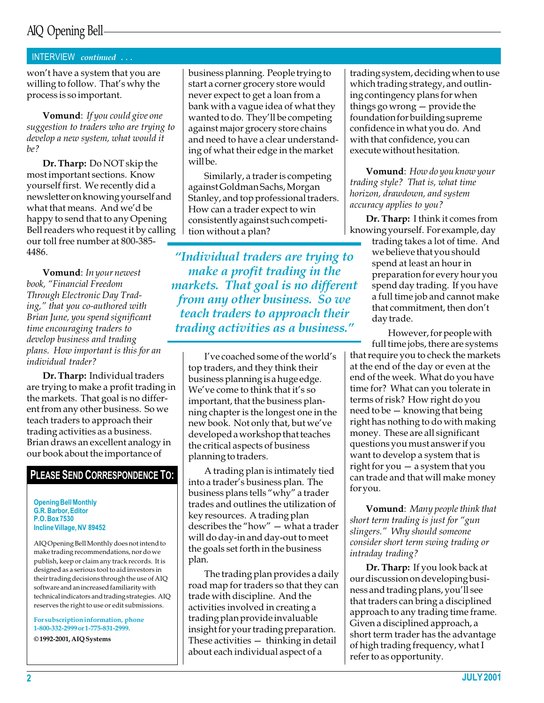## AIQ Opening Bell

#### INTERVIEW continued . . .

won't have a system that you are willing to follow. That's why the process is so important.

Vomund: If you could give one suggestion to traders who are trying to develop a new system, what would it be?

Dr. Tharp: Do NOT skip the most important sections. Know yourself first. We recently did a newsletter on knowing yourself and what that means. And we'd be happy to send that to any Opening Bell readers who request it by calling our toll free number at 800-385- 4486.

Vomund: In your newest book, "Financial Freedom Through Electronic Day Trad $ing,''$  that you co-authored with Brian June, you spend significant time encouraging traders to develop business and trading plans. How important is this for an individual trader?

Dr. Tharp: Individual traders are trying to make a profit trading in the markets. That goal is no different from any other business. So we teach traders to approach their trading activities as a business. Brian draws an excellent analogy in our book about the importance of

#### PLEASE SEND CORRESPONDENCE TO:

Opening Bell Monthly G.R. Barbor, Editor P.O. Box 7530 Incline Village, NV 89452

AIQ Opening Bell Monthly does not intend to make trading recommendations, nor do we publish, keep or claim any track records. It is designed as a serious tool to aid investors in their trading decisions through the use of AIQ software and an increased familiarity with technical indicators and trading strategies. AIQ reserves the right to use or edit submissions.

For subscription information, phone 1-800-332-2999 or 1-775-831-2999.

© 1992-2001, AIQ Systems

business planning. People trying to start a corner grocery store would never expect to get a loan from a bank with a vague idea of what they wanted to do. They'll be competing against major grocery store chains and need to have a clear understanding of what their edge in the market will be.

Similarly, a trader is competing against Goldman Sachs, Morgan Stanley, and top professional traders. How can a trader expect to win consistently against such competition without a plan?

"Individual traders are trying to make a profit trading in the markets. That goal is no different from any other business. So we teach traders to approach their trading activities as a business.

I've coached some of the world's top traders, and they think their business planning is a huge edge. We've come to think that it's so important, that the business planning chapter is the longest one in the new book. Not only that, but we've developed a workshop that teaches the critical aspects of business planning to traders.

A trading plan is intimately tied into a trader's business plan. The business plans tells "why" a trader trades and outlines the utilization of key resources. A trading plan describes the "how"  $-$  what a trader will do day-in and day-out to meet the goals set forth in the business plan.

The trading plan provides a daily road map for traders so that they can trade with discipline. And the activities involved in creating a trading plan provide invaluable insight for your trading preparation. These activities  $-$  thinking in detail about each individual aspect of a

trading system, deciding when to use which trading strategy, and outlining contingency plans for when things go wrong  $-$  provide the foundation for building supreme confidence in what you do. And with that confidence, you can execute without hesitation.

Vomund: How do you know your trading style? That is, what time horizon, drawdown, and system accuracy applies to you?

Dr. Tharp: I think it comes from knowing yourself. For example, day

trading takes a lot of time. And we believe that you should spend at least an hour in preparation for every hour you spend day trading. If you have a full time job and cannot make that commitment, then don't day trade.

However, for people with full time jobs, there are systems that require you to check the markets at the end of the day or even at the end of the week. What do you have time for? What can you tolerate in terms of risk? How right do you need to be  $-$  knowing that being right has nothing to do with making money. These are all significant questions you must answer if you want to develop a system that is right for you  $-$  a system that you can trade and that will make money for you.

Vomund: Many people think that short term trading is just for "gun slingers." Why should someone consider short term swing trading or intraday trading?

Dr. Tharp: If you look back at our discussion on developing business and trading plans, you'll see that traders can bring a disciplined approach to any trading time frame. Given a disciplined approach, a short term trader has the advantage of high trading frequency, what I refer to as opportunity.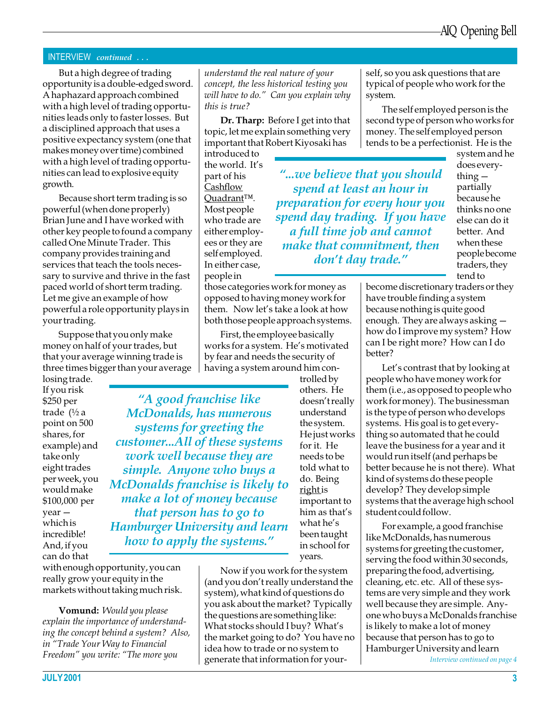#### INTERVIEW continued . . .

But a high degree of trading opportunity is a double-edged sword. A haphazard approach combined with a high level of trading opportunities leads only to faster losses. But a disciplined approach that uses a positive expectancy system (one that makes money over time) combined with a high level of trading opportunities can lead to explosive equity growth.

Because short term trading is so powerful (when done properly) Brian June and I have worked with other key people to found a company called One Minute Trader. This company provides training and services that teach the tools necessary to survive and thrive in the fast paced world of short term trading. Let me give an example of how powerful a role opportunity plays in your trading.

Suppose that you only make money on half of your trades, but that your average winning trade is three times bigger than your average

losing trade. If you risk \$250 per trade (½ a point on 500 shares, for example) and take only eight trades per week, you would make \$100,000 per year which is incredible! And, if you can do that

with enough opportunity, you can really grow your equity in the markets without taking much risk.

Vomund: Would you please explain the importance of understanding the concept behind a system? Also, in "Trade Your Way to Financial Freedom" you write: "The more you

understand the real nature of your concept, the less historical testing you will have to do." Can you explain why this is true?

Dr. Tharp: Before I get into that topic, let me explain something very important that Robert Kiyosaki has

introduced to the world. It's part of his **Cashflow** Quadrant<sup>TM</sup>. Most people who trade are either employees or they are self employed. In either case, people in

those categories work for money as opposed to having money work for them. Now let's take a look at how both those people approach systems.

First, the employee basically works for a system. He's motivated by fear and needs the security of having a system around him con-

A good franchise like McDonalds, has numerous systems for greeting the customer...All of these systems work well because they are simple. Anyone who buys a McDonalds franchise is likely to make a lot of money because that person has to go to Hamburger University and learn how to apply the systems."

trolled by others. He doesn't really understand the system. He just works for it. He needs to be told what to do. Being right is important to him as that's what he's been taught in school for years.

Now if you work for the system (and you don't really understand the system), what kind of questions do you ask about the market? Typically the questions are something like: What stocks should I buy? What's the market going to do? You have no idea how to trade or no system to generate that information for yourself, so you ask questions that are typical of people who work for the system.

The self employed person is the second type of person who works for money. The self employed person tends to be a perfectionist. He is the

"...we believe that you should spend at least an hour in preparation for every hour you spend day trading. If you have a full time job and cannot make that commitment, then don't day trade."

system and he does everything  $$ partially because he thinks no one else can do it better. And when these people become traders, they tend to

become discretionary traders or they have trouble finding a system because nothing is quite good enough. They are always asking how do I improve my system? How can I be right more? How can I do better?

Let's contrast that by looking at people who have money work for them (i.e., as opposed to people who work for money). The businessman is the type of person who develops systems. His goal is to get everything so automated that he could leave the business for a year and it would run itself (and perhaps be better because he is not there). What kind of systems do these people develop? They develop simple systems that the average high school student could follow.

For example, a good franchise like McDonalds, has numerous systems for greeting the customer, serving the food within 30 seconds, preparing the food, advertising, cleaning, etc. etc. All of these systems are very simple and they work well because they are simple. Anyone who buys a McDonalds franchise is likely to make a lot of money because that person has to go to Hamburger University and learn

Interview continued on page 4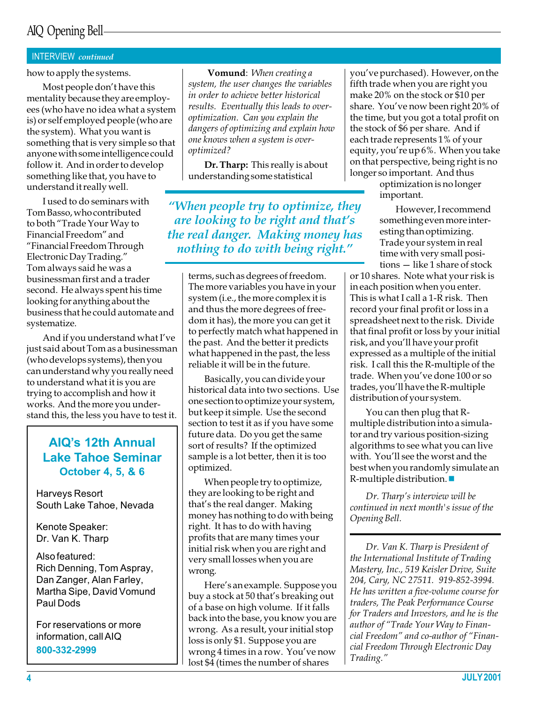## AIQ Opening Bell

#### INTERVIEW continued

how to apply the systems.

Most people don't have this mentality because they are employees (who have no idea what a system is) or self employed people (who are the system). What you want is something that is very simple so that anyone with some intelligence could follow it. And in order to develop something like that, you have to understand it really well.

I used to do seminars with Tom Basso, who contributed to both "Trade Your Way to Financial Freedom" and Financial Freedom Through Electronic Day Trading. Tom always said he was a businessman first and a trader second. He always spent his time looking for anything about the business that he could automate and systematize.

And if you understand what I've just said about Tom as a businessman (who develops systems), then you can understand why you really need to understand what it is you are trying to accomplish and how it works. And the more you understand this, the less you have to test it.

#### AIQ's 12th Annual Lake Tahoe Seminar October 4, 5, & 6

Harveys Resort South Lake Tahoe, Nevada

Kenote Speaker: Dr. Van K. Tharp

Also featured: Rich Denning, Tom Aspray, Dan Zanger, Alan Farley, Martha Sipe, David Vomund Paul Dods

For reservations or more information, call AIQ 800-332-2999

**Vomund**: When creating a

system, the user changes the variables in order to achieve better historical results. Eventually this leads to overoptimization. Can you explain the dangers of optimizing and explain how one knows when a system is overoptimized?

Dr. Tharp: This really is about understanding some statistical

When people try to optimize, they are looking to be right and that's the real danger. Making money has nothing to do with being right.

> terms, such as degrees of freedom. The more variables you have in your system (i.e., the more complex it is and thus the more degrees of freedom it has), the more you can get it to perfectly match what happened in the past. And the better it predicts what happened in the past, the less reliable it will be in the future.

> Basically, you can divide your historical data into two sections. Use one section to optimize your system, but keep it simple. Use the second section to test it as if you have some future data. Do you get the same sort of results? If the optimized sample is a lot better, then it is too optimized.

When people try to optimize, they are looking to be right and that's the real danger. Making money has nothing to do with being right. It has to do with having profits that are many times your initial risk when you are right and very small losses when you are wrong.

Here's an example. Suppose you buy a stock at 50 that's breaking out of a base on high volume. If it falls back into the base, you know you are wrong. As a result, your initial stop loss is only \$1. Suppose you are wrong 4 times in a row. You've now lost \$4 (times the number of shares

you've purchased). However, on the fifth trade when you are right you make 20% on the stock or \$10 per share. You've now been right 20% of the time, but you got a total profit on the stock of \$6 per share. And if each trade represents 1% of your equity, you're up 6%. When you take on that perspective, being right is no longer so important. And thus

optimization is no longer important.

However, I recommend something even more interesting than optimizing. Trade your system in real time with very small posi $tions - like 1 share of stock$ 

or 10 shares. Note what your risk is in each position when you enter. This is what I call a 1-R risk. Then record your final profit or loss in a spreadsheet next to the risk. Divide that final profit or loss by your initial risk, and you'll have your profit expressed as a multiple of the initial risk. I call this the R-multiple of the trade. When you've done 100 or so trades, you'll have the R-multiple distribution of your system.

You can then plug that Rmultiple distribution into a simulator and try various position-sizing algorithms to see what you can live with. You'll see the worst and the best when you randomly simulate an  $R$ -multiple distribution.

Dr. Tharp's interview will be continued in next month's issue of the Opening Bell.

Dr. Van K. Tharp is President of the International Institute of Trading Mastery, Inc., 519 Keisler Drive, Suite 204, Cary, NC 27511. 919-852-3994. He has written a five-volume course for traders, The Peak Performance Course for Traders and Investors, and he is the author of "Trade Your Way to Financial Freedom" and co-author of "Financial Freedom Through Electronic Day Trading.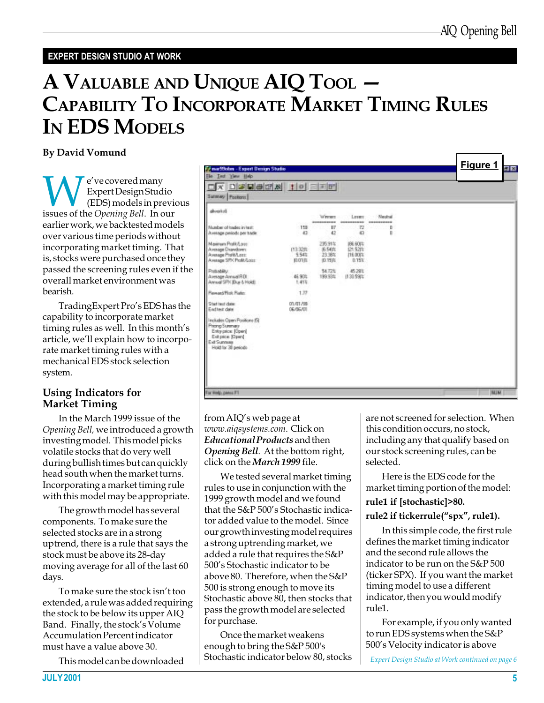#### EXPERT DESIGN STUDIO AT WORK

## A VALUABLE AND UNIQUE AIQ TOOL CAPABILITY TO INCORPORATE MARKET TIMING RULES IN EDS MODELS

#### By David Vomund

**WEXPERENT CONSERVING CONTROVER SURVEYOR CONSERVANCE CONSERVANCE SERVIEWS**<br>ISSUES OF the *Opening Bell*. In our Expert Design Studio (EDS) models in previous earlier work, we backtested models over various time periods without incorporating market timing. That is, stocks were purchased once they passed the screening rules even if the overall market environment was bearish.

TradingExpert Pro's EDS has the capability to incorporate market timing rules as well. In this month's article, we'll explain how to incorporate market timing rules with a mechanical EDS stock selection system.

#### Using Indicators for Market Timing

In the March 1999 issue of the Opening Bell, we introduced a growth investing model. This model picks volatile stocks that do very well during bullish times but can quickly head south when the market turns. Incorporating a market timing rule with this model may be appropriate.

The growth model has several components. To make sure the selected stocks are in a strong uptrend, there is a rule that says the stock must be above its 28-day moving average for all of the last 60 days.

To make sure the stock isn't too extended, a rule was added requiring the stock to be below its upper AIQ Band. Finally, the stock's Volume Accumulation Percent indicator must have a value above 30.

This model can be downloaded



from AIQ's web page at www.aiqsystems.com. Click on Educational Products and then Opening Bell. At the bottom right, click on the *March* 1999 file.

We tested several market timing rules to use in conjunction with the 1999 growth model and we found that the  $S\&P 500's$  Stochastic indicator added value to the model. Since our growth investing model requires a strong uptrending market, we added a rule that requires the S&P 500's Stochastic indicator to be above 80. Therefore, when the S&P 500 is strong enough to move its Stochastic above 80, then stocks that pass the growth model are selected for purchase.

Once the market weakens enough to bring the S&P 500's Stochastic indicator below 80, stocks are not screened for selection. When this condition occurs, no stock, including any that qualify based on our stock screening rules, can be selected.

Here is the EDS code for the market timing portion of the model:

#### rule1 if [stochastic]>80.

#### rule2 if tickerrule("spx", rule1).

In this simple code, the first rule defines the market timing indicator and the second rule allows the indicator to be run on the S&P 500 (ticker SPX). If you want the market timing model to use a different indicator, then you would modify rule1.

For example, if you only wanted to run EDS systems when the S&P 500's Velocity indicator is above

Expert Design Studio at Work continued on page 6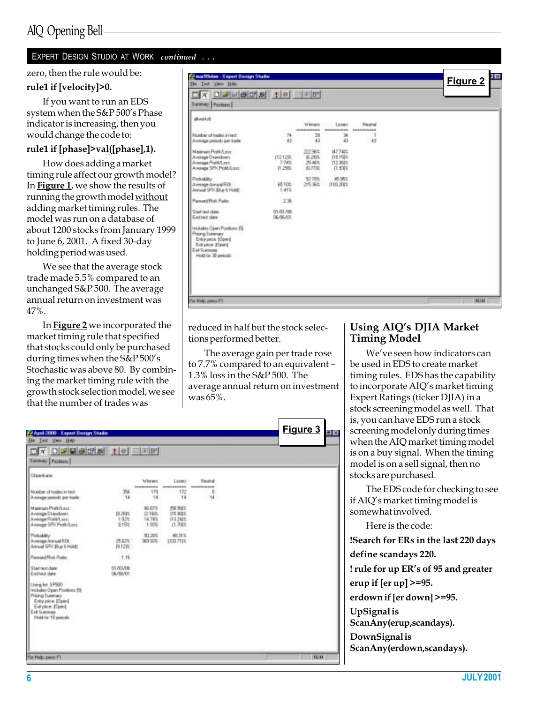#### EXPERT DESIGN STUDIO AT WORK continued ...

#### zero, then the rule would be:

#### rule1 if [velocity]>0.

If you want to run an EDS system when the S&P 500's Phase indicator is increasing, then you would change the code to:

#### rule1 if [phase]>val([phase],1).

How does adding a market timing rule affect our growth model? In **Figure 1**, we show the results of running the growth model without adding market timing rules. The model was run on a database of about 1200 stocks from January 1999 to June 6, 2001. A fixed 30-day holding period was used.

We see that the average stock trade made 5.5% compared to an unchanged S&P 500. The average annual return on investment was 47%.

In Figure 2 we incorporated the market timing rule that specified that stocks could only be purchased during times when the  $S\&P 500's$ Stochastic was above 80. By combining the market timing rule with the growth stock selection model, we see that the number of trades was

| $D[x][x][b][x][b][x][c][x][c]$<br>$\Box$ $\mathbf{x}$                                                                          |                           |                                            |                                              |                              |             |
|--------------------------------------------------------------------------------------------------------------------------------|---------------------------|--------------------------------------------|----------------------------------------------|------------------------------|-------------|
| Sanney Postern                                                                                                                 |                           |                                            |                                              |                              |             |
| division                                                                                                                       |                           | Wergen<br>----------                       | Leser<br>----------                          | <b>Neutral</b><br>---------- |             |
| Mundow of trades in twitt<br>Anesage periods per trade                                                                         | 74<br>43                  | 22<br>42                                   | 34<br>42                                     | 1<br>43                      |             |
| Maximum Profit/Love<br>Average Drandown:<br>Avenage Profit/Loct:<br>Average SPN Profit/Lozz                                    | (12.12)<br>7.74%<br>1.25% | 222.96%<br>8.29向<br>25.48%<br><b>D.77页</b> | 147,748%<br>119,150%<br>112,967%<br>(1.93)). |                              |             |
| Probability:<br><b>Binesson Annual ROI</b><br>Annual SPX Buy & Hold)                                                           | 65 103<br>1.41%           | \$2,706<br>25.301                          | 机固定<br>(103.2014)                            |                              |             |
| Feward Flok Rate:                                                                                                              | 236                       |                                            |                                              |                              |             |
| Start leat date:<br>Eadtest date                                                                                               | 01/01/08<br>06/06/01      |                                            |                                              |                              |             |
| Includes Open Positions (S)<br>Pricing Summary<br>Entry price: (Open)<br>Ext pace [Open]<br>Evil Summar<br>Hold for 30 periods |                           |                                            |                                              |                              |             |
| For Help, pales F1                                                                                                             |                           |                                            |                                              |                              | <b>BELM</b> |

reduced in half but the stock selections performed better.

The average gain per trade rose to 7.7% compared to an equivalent 1.3% loss in the S&P 500. The average annual return on investment was 65%.

| April 2000 - Expert Denign Studio<br>Ele Test View Help                                                                                          |                                            |                                        |                                                  |                         | Figure 3   |
|--------------------------------------------------------------------------------------------------------------------------------------------------|--------------------------------------------|----------------------------------------|--------------------------------------------------|-------------------------|------------|
| Sunewy Postions                                                                                                                                  |                                            |                                        |                                                  |                         |            |
| <b>Citizenkane</b>                                                                                                                               |                                            | <b>Manager</b><br>----------           | Luses<br>----------                              | Neutral<br>------------ |            |
| Number of trades in test:<br>Avetage periods per trade.                                                                                          | 356<br>14                                  | 179<br>14                              | 172<br>14.                                       | 5<br>14                 |            |
| Maximum Profit/Louis<br>Jonesson Disendown:<br>Avessor Profit Loss<br>Aircrage SPK Profit/Long                                                   | $2.50 - 2.00$<br>19.2915<br>1.82%<br>0.15% | BE ETTL<br>(2.1876)<br>14.74%<br>1.93% | <b>BL 50(X)</b><br>115,900%<br>作3:24比<br>(1.701) |                         |            |
| Podsability:<br>Avesson Annual RDI<br>Arrest SPA Buy & Hold:                                                                                     | 29.62%<br>19.12以                           | 50,265<br>369,935                      | AB 38 32<br>(333.71));                           |                         |            |
| Fleward/Flink Plater.                                                                                                                            | 1.16                                       |                                        |                                                  |                         |            |
| Start heat claim<br>End test date                                                                                                                | 07/03/08<br>06/09/01                       |                                        |                                                  |                         |            |
| Using let 5P500<br>Includes Open Poplions (S)<br>Pricing Summary<br>Entry price: [Open]<br>Extrace (Open)<br>Exit Summare<br>Hold for 18 periods |                                            |                                        |                                                  |                         |            |
| For Help, peecs F1                                                                                                                               |                                            |                                        |                                                  |                         | <b>MUM</b> |

#### Using AIQ's DJIA Market Timing Model

We've seen how indicators can be used in EDS to create market timing rules. EDS has the capability to incorporate AIQ's market timing Expert Ratings (ticker DJIA) in a stock screening model as well. That is, you can have EDS run a stock screening model only during times when the AIQ market timing model is on a buy signal. When the timing model is on a sell signal, then no stocks are purchased.

The EDS code for checking to see if AIQ's market timing model is somewhat involved.

Here is the code:

!Search for ERs in the last 220 days

define scandays 220.

! rule for up ER's of 95 and greater

erup if [er up] >=95.

erdown if [er down] >=95.

UpSignal is

ScanAny(erup,scandays).

DownSignal is ScanAny(erdown,scandays).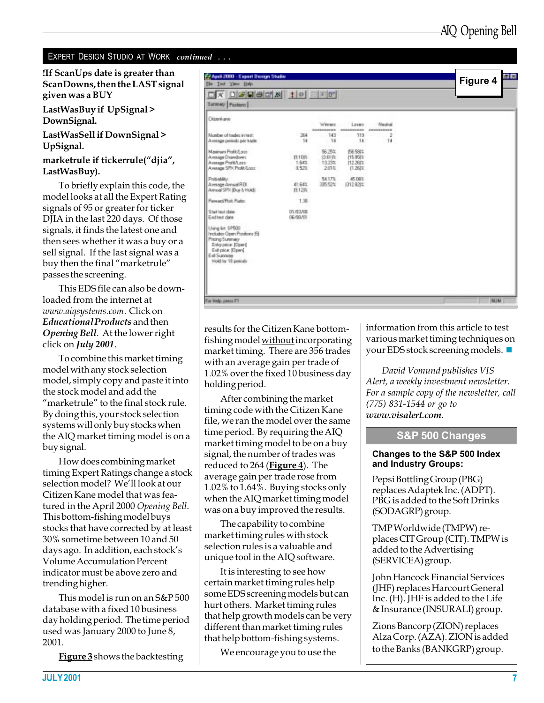#### EXPERT DESIGN STUDIO AT WORK continued ...

If ScanUps date is greater than ScanDowns, then the LAST signal given was a BUY

LastWasBuy if UpSignal > DownSignal.

LastWasSell if DownSignal > UpSignal.

marketrule if tickerrule("djia", LastWasBuy).

To briefly explain this code, the model looks at all the Expert Rating signals of 95 or greater for ticker DJIA in the last 220 days. Of those signals, it finds the latest one and then sees whether it was a buy or a sell signal. If the last signal was a buy then the final "marketrule" passes the screening.

This EDS file can also be downloaded from the internet at www.aiqsystems.com. Click on Educational Products and then Opening Bell. At the lower right click on July 2001.

To combine this market timing model with any stock selection model, simply copy and paste it into the stock model and add the "marketrule" to the final stock rule. By doing this, your stock selection systems will only buy stocks when the AIQ market timing model is on a buy signal.

How does combining market timing Expert Ratings change a stock selection model? We'll look at our Citizen Kane model that was featured in the April 2000 Opening Bell. This bottom-fishing model buys stocks that have corrected by at least 30% sometime between 10 and 50 days ago. In addition, each stock's Volume Accumulation Percent indicator must be above zero and trending higher.

This model is run on an S&P 500 database with a fixed 10 business day holding period. The time period used was January 2000 to June 8, 2001.

**Figure 3** shows the backtesting

| Test View Help<br>File:<br>X DEBER 10 EFF                                                                                                          |                           |                                  |                                           |                      | Figure 4   |
|----------------------------------------------------------------------------------------------------------------------------------------------------|---------------------------|----------------------------------|-------------------------------------------|----------------------|------------|
| Summary Posteres                                                                                                                                   |                           |                                  |                                           |                      |            |
| <b>Chicenhave</b>                                                                                                                                  |                           | Werger<br>----------             | Leser<br>----------                       | Nedral<br>---------- |            |
| Mundow of trades in twitt<br>Avesage periods per trade                                                                                             | 264<br>14                 | 141<br>14                        | 119<br>14.                                | 2<br>14              |            |
| Maximum Profit/Love<br>Average Drawdown:<br>Avenue ProWLerr:<br>Average SP/CProfit/Lozz                                                            | 19.1045<br>1,64%<br>0.52% | 96,254:<br>贷财库<br>13.23%<br>201% | FA 931<br>115.950%<br>112,261%<br>(1.261) |                      |            |
| Podubility<br>Average Annual ROI<br>Annual SPX Buy & Hold!                                                                                         | 41,643.<br>19.12円         | 54.17%<br>335.52%                | APS DIETE<br>(312.821%)                   |                      |            |
| <b>Fewerd Flok Rate:</b>                                                                                                                           | 1.38                      |                                  |                                           |                      |            |
| Start leat date:<br>Eadtest date                                                                                                                   | 07/07/08<br>06/09/01      |                                  |                                           |                      |            |
| Using lot 5P500<br>Includes Üpen Positions FSI<br>Pricing Summary<br>Entry price: [Open]<br>Exhiption (Open)<br>Exit Summar<br>Hold for 18 periods |                           |                                  |                                           |                      |            |
|                                                                                                                                                    |                           |                                  |                                           |                      |            |
|                                                                                                                                                    |                           |                                  |                                           |                      |            |
| For Help, peers F1                                                                                                                                 |                           |                                  |                                           |                      | <b>NUM</b> |

results for the Citizen Kane bottomfishing model without incorporating market timing. There are 356 trades with an average gain per trade of 1.02% over the fixed 10 business day holding period.

After combining the market timing code with the Citizen Kane file, we ran the model over the same time period. By requiring the AIQ market timing model to be on a buy signal, the number of trades was reduced to 264 (**Figure 4**). The average gain per trade rose from 1.02% to 1.64%. Buying stocks only when the AIQ market timing model was on a buy improved the results.

The capability to combine market timing rules with stock selection rules is a valuable and unique tool in the AIQ software.

It is interesting to see how certain market timing rules help some EDS screening models but can hurt others. Market timing rules that help growth models can be very different than market timing rules that help bottom-fishing systems.

We encourage you to use the

information from this article to test various market timing techniques on your EDS stock screening models.  $\blacksquare$ 

David Vomund publishes VIS Alert, a weekly investment newsletter. For a sample copy of the newsletter, call (775) 831-1544 or go to www.visalert.com.

#### **S&P 500 Changes**

#### Changes to the S&P 500 Index and Industry Groups:

Pepsi Bottling Group (PBG) replaces Adaptek Inc. (ADPT). PBG is added to the Soft Drinks (SODAGRP) group.

TMP Worldwide (TMPW) replaces CIT Group (CIT). TMPW is added to the Advertising (SERVICEA) group.

John Hancock Financial Services (JHF) replaces Harcourt General Inc. (H). JHF is added to the Life & Insurance (INSURALI) group.

Zions Bancorp (ZION) replaces Alza Corp. (AZA). ZION is added to the Banks (BANKGRP) group.